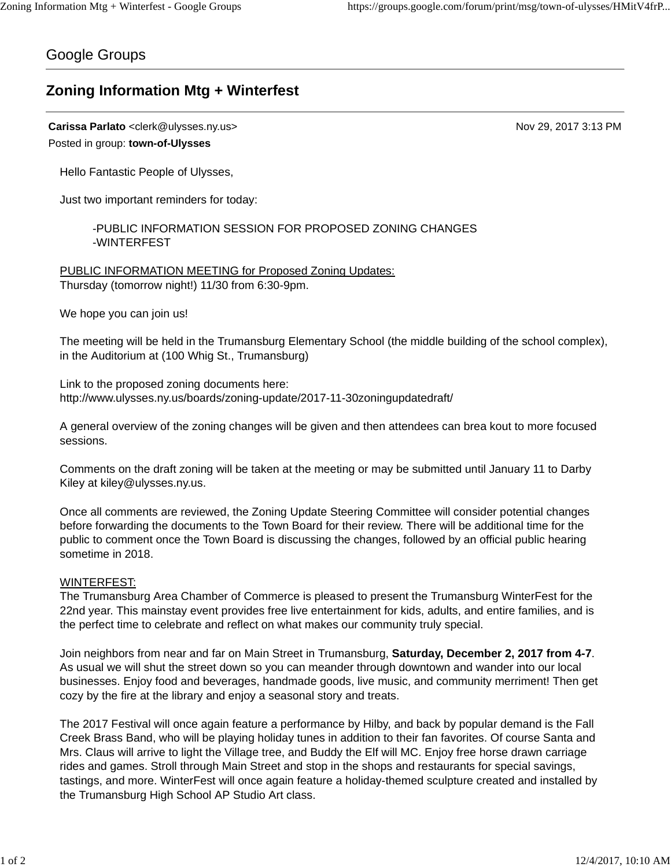## Google Groups

## **Zoning Information Mtg + Winterfest**

**Carissa Parlato** <clerk@ulysses.ny.us> Nov 29, 2017 3:13 PM Posted in group: **town-of-Ulysses**

Hello Fantastic People of Ulysses,

Just two important reminders for today:

-PUBLIC INFORMATION SESSION FOR PROPOSED ZONING CHANGES -WINTERFEST

PUBLIC INFORMATION MEETING for Proposed Zoning Updates: Thursday (tomorrow night!) 11/30 from 6:30-9pm.

We hope you can join us!

The meeting will be held in the Trumansburg Elementary School (the middle building of the school complex), in the Auditorium at (100 Whig St., Trumansburg)

Link to the proposed zoning documents here: http://www.ulysses.ny.us/boards/zoning-update/2017-11-30zoningupdatedraft/

A general overview of the zoning changes will be given and then attendees can brea kout to more focused sessions.

Comments on the draft zoning will be taken at the meeting or may be submitted until January 11 to Darby Kiley at kiley@ulysses.ny.us.

Once all comments are reviewed, the Zoning Update Steering Committee will consider potential changes before forwarding the documents to the Town Board for their review. There will be additional time for the public to comment once the Town Board is discussing the changes, followed by an official public hearing sometime in 2018.

## WINTERFEST:

The Trumansburg Area Chamber of Commerce is pleased to present the Trumansburg WinterFest for the 22nd year. This mainstay event provides free live entertainment for kids, adults, and entire families, and is the perfect time to celebrate and reflect on what makes our community truly special.

Join neighbors from near and far on Main Street in Trumansburg, **Saturday, December 2, 2017 from 4-7**. As usual we will shut the street down so you can meander through downtown and wander into our local businesses. Enjoy food and beverages, handmade goods, live music, and community merriment! Then get cozy by the fire at the library and enjoy a seasonal story and treats.

The 2017 Festival will once again feature a performance by Hilby, and back by popular demand is the Fall Creek Brass Band, who will be playing holiday tunes in addition to their fan favorites. Of course Santa and Mrs. Claus will arrive to light the Village tree, and Buddy the Elf will MC. Enjoy free horse drawn carriage rides and games. Stroll through Main Street and stop in the shops and restaurants for special savings, tastings, and more. WinterFest will once again feature a holiday-themed sculpture created and installed by the Trumansburg High School AP Studio Art class.